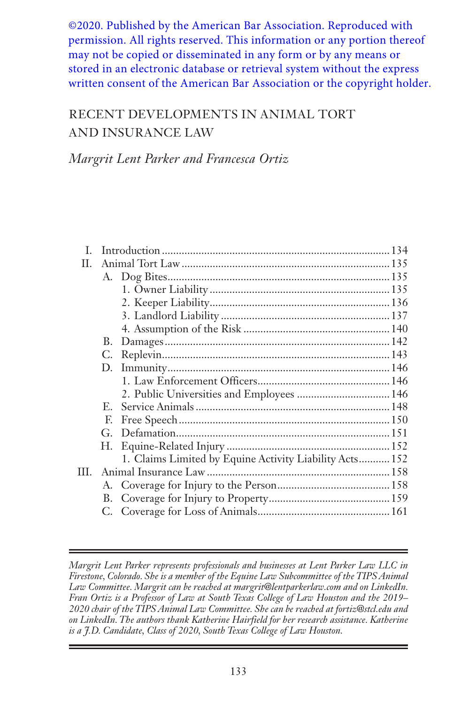©2020. Published by the American Bar Association. Reproduced with permission. All rights reserved. This information or any portion thereof may not be copied or disseminated in any form or by any means or stored in an electronic database or retrieval system without the express written consent of the American Bar Association or the copyright holder.

# RECENT DEVELOPMENTS IN ANIMAL TORT AND INSURANCE LAW

*Margrit Lent Parker and Francesca Ortiz*

| L.   |              |                                                         |  |
|------|--------------|---------------------------------------------------------|--|
| H.   |              |                                                         |  |
|      |              |                                                         |  |
|      |              |                                                         |  |
|      |              |                                                         |  |
|      |              |                                                         |  |
|      |              |                                                         |  |
|      |              |                                                         |  |
|      | C.           |                                                         |  |
|      | D.           |                                                         |  |
|      |              |                                                         |  |
|      |              | 2. Public Universities and Employees  146               |  |
|      | $E_{\rm{m}}$ |                                                         |  |
|      | F.           |                                                         |  |
|      |              |                                                         |  |
|      |              |                                                         |  |
|      |              | 1. Claims Limited by Equine Activity Liability Acts 152 |  |
| III. |              |                                                         |  |
|      |              |                                                         |  |
|      |              |                                                         |  |
|      |              |                                                         |  |
|      |              |                                                         |  |

*Margrit Lent Parker represents professionals and businesses at Lent Parker Law LLC in Firestone, Colorado. She is a member of the Equine Law Subcommittee of the TIPS Animal Law Committee. Margrit can be reached at margrit@lentparkerlaw.com and on LinkedIn. Fran Ortiz is a Professor of Law at South Texas College of Law Houston and the 2019– 2020 chair of the TIPS Animal Law Committee. She can be reached at fortiz@stcl.edu and on LinkedIn. The authors thank Katherine Hairfield for her research assistance. Katherine is a J.D. Candidate, Class of 2020, South Texas College of Law Houston.*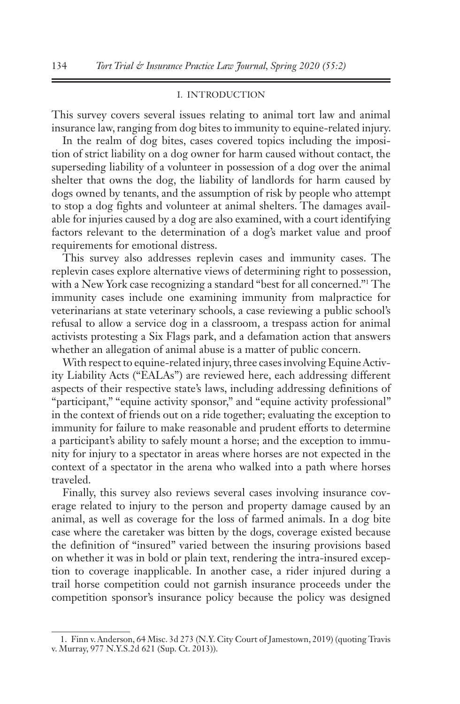### I. INTRODUCTION

This survey covers several issues relating to animal tort law and animal insurance law, ranging from dog bites to immunity to equine-related injury.

In the realm of dog bites, cases covered topics including the imposition of strict liability on a dog owner for harm caused without contact, the superseding liability of a volunteer in possession of a dog over the animal shelter that owns the dog, the liability of landlords for harm caused by dogs owned by tenants, and the assumption of risk by people who attempt to stop a dog fights and volunteer at animal shelters. The damages available for injuries caused by a dog are also examined, with a court identifying factors relevant to the determination of a dog's market value and proof requirements for emotional distress.

This survey also addresses replevin cases and immunity cases. The replevin cases explore alternative views of determining right to possession, with a New York case recognizing a standard "best for all concerned."1 The immunity cases include one examining immunity from malpractice for veterinarians at state veterinary schools, a case reviewing a public school's refusal to allow a service dog in a classroom, a trespass action for animal activists protesting a Six Flags park, and a defamation action that answers whether an allegation of animal abuse is a matter of public concern.

With respect to equine-related injury, three cases involving Equine Activity Liability Acts ("EALAs") are reviewed here, each addressing different aspects of their respective state's laws, including addressing definitions of "participant," "equine activity sponsor," and "equine activity professional" in the context of friends out on a ride together; evaluating the exception to immunity for failure to make reasonable and prudent efforts to determine a participant's ability to safely mount a horse; and the exception to immunity for injury to a spectator in areas where horses are not expected in the context of a spectator in the arena who walked into a path where horses traveled.

Finally, this survey also reviews several cases involving insurance coverage related to injury to the person and property damage caused by an animal, as well as coverage for the loss of farmed animals. In a dog bite case where the caretaker was bitten by the dogs, coverage existed because the definition of "insured" varied between the insuring provisions based on whether it was in bold or plain text, rendering the intra-insured exception to coverage inapplicable. In another case, a rider injured during a trail horse competition could not garnish insurance proceeds under the competition sponsor's insurance policy because the policy was designed

<sup>1.</sup> Finn v. Anderson, 64 Misc. 3d 273 (N.Y. City Court of Jamestown, 2019) (quoting Travis v. Murray, 977 N.Y.S.2d 621 (Sup. Ct. 2013)).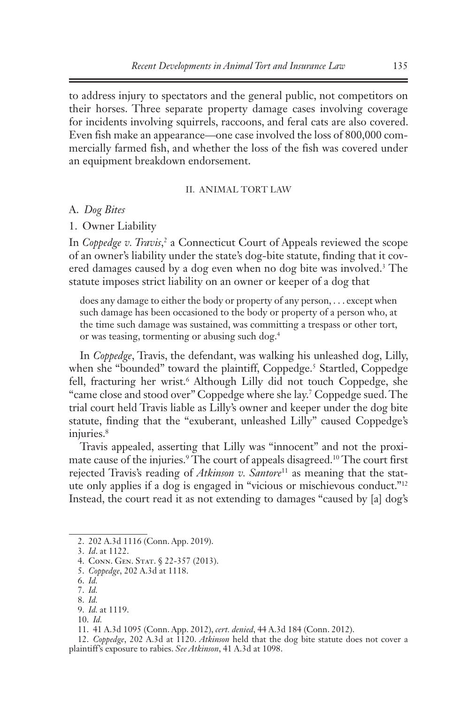to address injury to spectators and the general public, not competitors on their horses. Three separate property damage cases involving coverage for incidents involving squirrels, raccoons, and feral cats are also covered. Even fish make an appearance—one case involved the loss of 800,000 commercially farmed fish, and whether the loss of the fish was covered under an equipment breakdown endorsement.

#### II. ANIMAL TORT LAW

### A. *Dog Bites*

1. Owner Liability

In *Coppedge v. Travis*,<sup>2</sup> a Connecticut Court of Appeals reviewed the scope of an owner's liability under the state's dog-bite statute, finding that it covered damages caused by a dog even when no dog bite was involved.<sup>3</sup> The statute imposes strict liability on an owner or keeper of a dog that

does any damage to either the body or property of any person, . . . except when such damage has been occasioned to the body or property of a person who, at the time such damage was sustained, was committing a trespass or other tort, or was teasing, tormenting or abusing such dog.4

In *Coppedge*, Travis, the defendant, was walking his unleashed dog, Lilly, when she "bounded" toward the plaintiff, Coppedge.<sup>5</sup> Startled, Coppedge fell, fracturing her wrist.6 Although Lilly did not touch Coppedge, she "came close and stood over" Coppedge where she lay.7 Coppedge sued. The trial court held Travis liable as Lilly's owner and keeper under the dog bite statute, finding that the "exuberant, unleashed Lilly" caused Coppedge's injuries.<sup>8</sup>

Travis appealed, asserting that Lilly was "innocent" and not the proximate cause of the injuries.<sup>9</sup> The court of appeals disagreed.<sup>10</sup> The court first rejected Travis's reading of *Atkinson v. Santore*<sup>11</sup> as meaning that the statute only applies if a dog is engaged in "vicious or mischievous conduct."12 Instead, the court read it as not extending to damages "caused by [a] dog's

<sup>2.</sup> 202 A.3d 1116 (Conn. App. 2019).

<sup>3.</sup> *Id*. at 1122.

<sup>4.</sup> CONN. GEN. STAT. § 22-357 (2013).

<sup>5.</sup> *Coppedge*, 202 A.3d at 1118.

<sup>6.</sup> *Id.*

<sup>7.</sup> *Id.*

<sup>8.</sup> *Id.*

<sup>9.</sup> *Id.* at 1119.

<sup>10.</sup> *Id.*

<sup>11.</sup> 41 A.3d 1095 (Conn. App. 2012), *cert. denied*, 44 A.3d 184 (Conn. 2012).

<sup>12.</sup> *Coppedge*, 202 A.3d at 1120. *Atkinson* held that the dog bite statute does not cover a plaintiff's exposure to rabies. *See Atkinson*, 41 A.3d at 1098.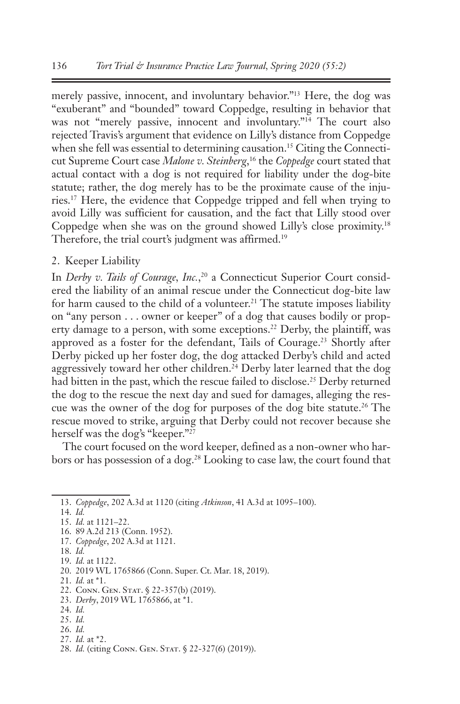merely passive, innocent, and involuntary behavior."13 Here, the dog was "exuberant" and "bounded" toward Coppedge, resulting in behavior that was not "merely passive, innocent and involuntary."<sup>14</sup> The court also rejected Travis's argument that evidence on Lilly's distance from Coppedge when she fell was essential to determining causation.<sup>15</sup> Citing the Connecticut Supreme Court case *Malone v. Steinberg*, 16 the *Coppedge* court stated that actual contact with a dog is not required for liability under the dog-bite statute; rather, the dog merely has to be the proximate cause of the injuries.17 Here, the evidence that Coppedge tripped and fell when trying to avoid Lilly was sufficient for causation, and the fact that Lilly stood over Coppedge when she was on the ground showed Lilly's close proximity.18 Therefore, the trial court's judgment was affirmed.<sup>19</sup>

# 2. Keeper Liability

In *Derby v. Tails of Courage, Inc.*, 20 a Connecticut Superior Court considered the liability of an animal rescue under the Connecticut dog-bite law for harm caused to the child of a volunteer.<sup>21</sup> The statute imposes liability on "any person . . . owner or keeper" of a dog that causes bodily or property damage to a person, with some exceptions.<sup>22</sup> Derby, the plaintiff, was approved as a foster for the defendant, Tails of Courage.23 Shortly after Derby picked up her foster dog, the dog attacked Derby's child and acted aggressively toward her other children.24 Derby later learned that the dog had bitten in the past, which the rescue failed to disclose.<sup>25</sup> Derby returned the dog to the rescue the next day and sued for damages, alleging the rescue was the owner of the dog for purposes of the dog bite statute.26 The rescue moved to strike, arguing that Derby could not recover because she herself was the dog's "keeper."27

The court focused on the word keeper, defined as a non-owner who harbors or has possession of a dog.28 Looking to case law, the court found that

- 16. 89 A.2d 213 (Conn. 1952).
- 17. *Coppedge*, 202 A.3d at 1121.
- 18. *Id.*

24. *Id.*

- 26. *Id.*
- 27. *Id.* at \*2.

<sup>13.</sup> *Coppedge*, 202 A.3d at 1120 (citing *Atkinson*, 41 A.3d at 1095–100).

<sup>14.</sup> *Id.*

<sup>15.</sup> *Id.* at 1121–22.

<sup>19.</sup> *Id.* at 1122.

<sup>20.</sup> 2019 WL 1765866 (Conn. Super. Ct. Mar. 18, 2019).

<sup>21.</sup> *Id.* at \*1.

<sup>22.</sup> Conn. Gen. Stat. § 22-357(b) (2019).

<sup>23.</sup> *Derby*, 2019 WL 1765866, at \*1.

<sup>25.</sup> *Id.*

<sup>28.</sup> *Id.* (citing CONN. GEN. STAT. § 22-327(6) (2019)).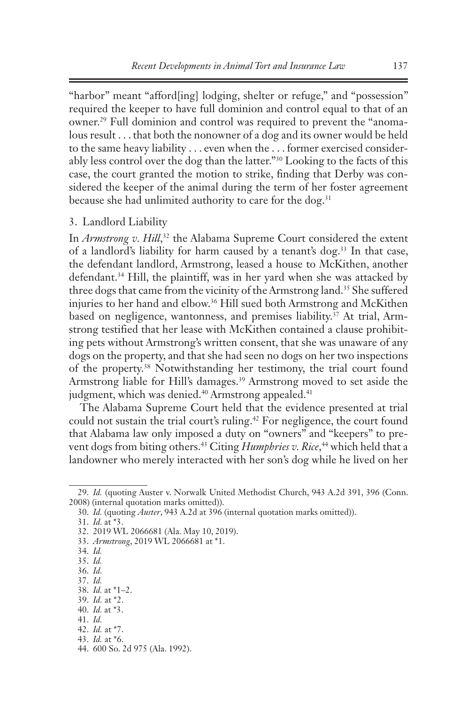"harbor" meant "afford[ing] lodging, shelter or refuge," and "possession" required the keeper to have full dominion and control equal to that of an owner.29 Full dominion and control was required to prevent the "anomalous result . . . that both the nonowner of a dog and its owner would be held to the same heavy liability . . . even when the . . . former exercised considerably less control over the dog than the latter."30 Looking to the facts of this case, the court granted the motion to strike, finding that Derby was considered the keeper of the animal during the term of her foster agreement because she had unlimited authority to care for the dog.<sup>31</sup>

### 3. Landlord Liability

In *Armstrong v. Hill*,<sup>32</sup> the Alabama Supreme Court considered the extent of a landlord's liability for harm caused by a tenant's dog.<sup>33</sup> In that case, the defendant landlord, Armstrong, leased a house to McKithen, another defendant.34 Hill, the plaintiff, was in her yard when she was attacked by three dogs that came from the vicinity of the Armstrong land.<sup>35</sup> She suffered injuries to her hand and elbow.36 Hill sued both Armstrong and McKithen based on negligence, wantonness, and premises liability.<sup>37</sup> At trial, Armstrong testified that her lease with McKithen contained a clause prohibiting pets without Armstrong's written consent, that she was unaware of any dogs on the property, and that she had seen no dogs on her two inspections of the property.38 Notwithstanding her testimony, the trial court found Armstrong liable for Hill's damages.<sup>39</sup> Armstrong moved to set aside the judgment, which was denied.<sup>40</sup> Armstrong appealed.<sup>41</sup>

The Alabama Supreme Court held that the evidence presented at trial could not sustain the trial court's ruling.<sup>42</sup> For negligence, the court found that Alabama law only imposed a duty on "owners" and "keepers" to prevent dogs from biting others.43 Citing *Humphries v. Rice*, 44 which held that a landowner who merely interacted with her son's dog while he lived on her

<sup>29.</sup> *Id.* (quoting Auster v. Norwalk United Methodist Church, 943 A.2d 391, 396 (Conn. 2008) (internal quotation marks omitted)).

<sup>30.</sup> *Id.* (quoting *Auster*, 943 A.2d at 396 (internal quotation marks omitted)).

<sup>31.</sup> *Id.* at \*3.

<sup>32.</sup> 2019 WL 2066681 (Ala. May 10, 2019).

<sup>33.</sup> *Armstrong*, 2019 WL 2066681 at \*1.

<sup>34.</sup> *Id.* 

<sup>35.</sup> *Id.* 

<sup>36.</sup> *Id.*

<sup>37.</sup> *Id.*

<sup>38.</sup> *Id.* at \*1–2.

<sup>39.</sup> *Id.* at \*2.

<sup>40.</sup> *Id.* at \*3.

<sup>41.</sup> *Id.* 

<sup>42.</sup> *Id.* at \*7.

<sup>43.</sup> *Id.* at \*6.

<sup>44.</sup> 600 So. 2d 975 (Ala. 1992).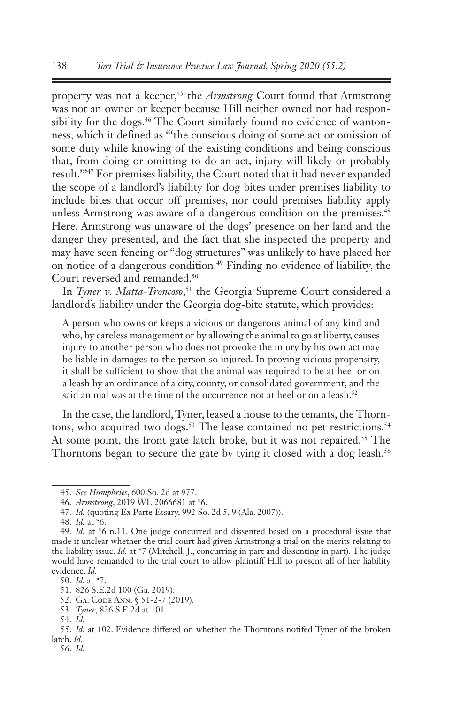property was not a keeper,<sup>45</sup> the *Armstrong* Court found that Armstrong was not an owner or keeper because Hill neither owned nor had responsibility for the dogs.<sup>46</sup> The Court similarly found no evidence of wantonness, which it defined as "'the conscious doing of some act or omission of some duty while knowing of the existing conditions and being conscious that, from doing or omitting to do an act, injury will likely or probably result.'"47 For premises liability, the Court noted that it had never expanded the scope of a landlord's liability for dog bites under premises liability to include bites that occur off premises, nor could premises liability apply unless Armstrong was aware of a dangerous condition on the premises.<sup>48</sup> Here, Armstrong was unaware of the dogs' presence on her land and the danger they presented, and the fact that she inspected the property and may have seen fencing or "dog structures" was unlikely to have placed her on notice of a dangerous condition.49 Finding no evidence of liability, the Court reversed and remanded.<sup>50</sup>

In *Tyner v. Matta-Troncoso*, 51 the Georgia Supreme Court considered a landlord's liability under the Georgia dog-bite statute, which provides:

A person who owns or keeps a vicious or dangerous animal of any kind and who, by careless management or by allowing the animal to go at liberty, causes injury to another person who does not provoke the injury by his own act may be liable in damages to the person so injured. In proving vicious propensity, it shall be sufficient to show that the animal was required to be at heel or on a leash by an ordinance of a city, county, or consolidated government, and the said animal was at the time of the occurrence not at heel or on a leash.<sup>52</sup>

In the case, the landlord, Tyner, leased a house to the tenants, the Thorntons, who acquired two dogs.<sup>53</sup> The lease contained no pet restrictions.<sup>54</sup> At some point, the front gate latch broke, but it was not repaired.<sup>55</sup> The Thorntons began to secure the gate by tying it closed with a dog leash.<sup>56</sup>

<sup>45.</sup> *See Humphries*, 600 So. 2d at 977.

<sup>46.</sup> *Armstrong*, 2019 WL 2066681 at \*6.

<sup>47.</sup> *Id.* (quoting Ex Parte Essary, 992 So. 2d 5, 9 (Ala. 2007)).

<sup>48.</sup> *Id.* at \*6.

<sup>49.</sup> *Id.* at \*6 n.11. One judge concurred and dissented based on a procedural issue that made it unclear whether the trial court had given Armstrong a trial on the merits relating to the liability issue. *Id.* at \*7 (Mitchell, J., concurring in part and dissenting in part). The judge would have remanded to the trial court to allow plaintiff Hill to present all of her liability evidence. *Id.*

<sup>50.</sup> *Id.* at \*7.

<sup>51.</sup> 826 S.E.2d 100 (Ga. 2019).

<sup>52.</sup> Ga. Code Ann. § 51-2-7 (2019).

<sup>53.</sup> *Tyner*, 826 S.E.2d at 101.

<sup>54.</sup> *Id.*

<sup>55.</sup> *Id.* at 102. Evidence differed on whether the Thorntons notifed Tyner of the broken latch. *Id.* 

<sup>56.</sup> *Id.*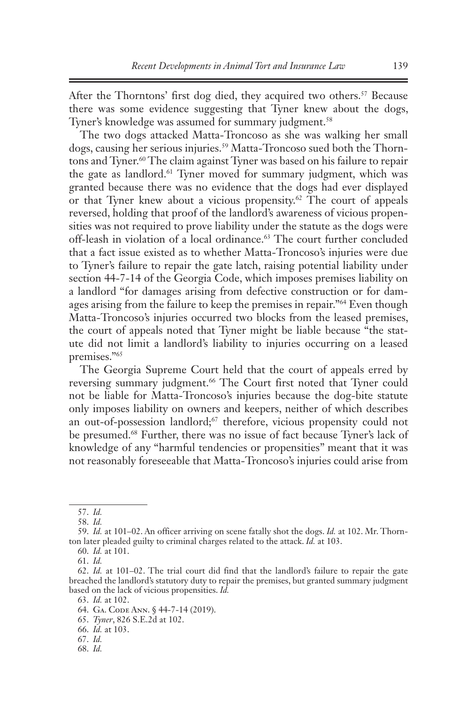After the Thorntons' first dog died, they acquired two others.<sup>57</sup> Because there was some evidence suggesting that Tyner knew about the dogs, Tyner's knowledge was assumed for summary judgment.<sup>58</sup>

The two dogs attacked Matta-Troncoso as she was walking her small dogs, causing her serious injuries.<sup>59</sup> Matta-Troncoso sued both the Thorntons and Tyner.<sup>60</sup> The claim against Tyner was based on his failure to repair the gate as landlord.<sup>61</sup> Tyner moved for summary judgment, which was granted because there was no evidence that the dogs had ever displayed or that Tyner knew about a vicious propensity.<sup>62</sup> The court of appeals reversed, holding that proof of the landlord's awareness of vicious propensities was not required to prove liability under the statute as the dogs were off-leash in violation of a local ordinance.<sup>63</sup> The court further concluded that a fact issue existed as to whether Matta-Troncoso's injuries were due to Tyner's failure to repair the gate latch, raising potential liability under section 44-7-14 of the Georgia Code, which imposes premises liability on a landlord "for damages arising from defective construction or for damages arising from the failure to keep the premises in repair."<sup>64</sup> Even though Matta-Troncoso's injuries occurred two blocks from the leased premises, the court of appeals noted that Tyner might be liable because "the statute did not limit a landlord's liability to injuries occurring on a leased premises."65

The Georgia Supreme Court held that the court of appeals erred by reversing summary judgment.<sup>66</sup> The Court first noted that Tyner could not be liable for Matta-Troncoso's injuries because the dog-bite statute only imposes liability on owners and keepers, neither of which describes an out-of-possession landlord;67 therefore, vicious propensity could not be presumed.<sup>68</sup> Further, there was no issue of fact because Tyner's lack of knowledge of any "harmful tendencies or propensities" meant that it was not reasonably foreseeable that Matta-Troncoso's injuries could arise from

- 65. *Tyner*, 826 S.E.2d at 102.
- 66. *Id.* at 103.
- 67. *Id.*
- 68. *Id.*

<sup>57.</sup> *Id.* 

<sup>58.</sup> *Id.*

<sup>59.</sup> *Id.* at 101–02. An officer arriving on scene fatally shot the dogs. *Id.* at 102. Mr. Thornton later pleaded guilty to criminal charges related to the attack. *Id.* at 103.

<sup>60.</sup> *Id.* at 101.

<sup>61.</sup> *Id.*

<sup>62.</sup> *Id.* at 101–02. The trial court did find that the landlord's failure to repair the gate breached the landlord's statutory duty to repair the premises, but granted summary judgment based on the lack of vicious propensities. *Id.*

<sup>63.</sup> *Id.* at 102.

<sup>64.</sup> Ga. Code Ann. § 44-7-14 (2019).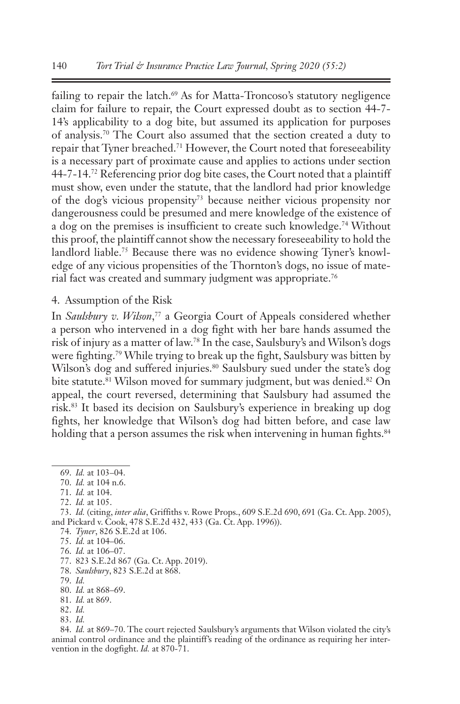failing to repair the latch.<sup>69</sup> As for Matta-Troncoso's statutory negligence claim for failure to repair, the Court expressed doubt as to section 44-7- 14's applicability to a dog bite, but assumed its application for purposes of analysis.70 The Court also assumed that the section created a duty to repair that Tyner breached.71 However, the Court noted that foreseeability is a necessary part of proximate cause and applies to actions under section 44-7-14.72 Referencing prior dog bite cases, the Court noted that a plaintiff must show, even under the statute, that the landlord had prior knowledge of the dog's vicious propensity73 because neither vicious propensity nor dangerousness could be presumed and mere knowledge of the existence of a dog on the premises is insufficient to create such knowledge.<sup>74</sup> Without this proof, the plaintiff cannot show the necessary foreseeability to hold the landlord liable.75 Because there was no evidence showing Tyner's knowledge of any vicious propensities of the Thornton's dogs, no issue of material fact was created and summary judgment was appropriate.76

4. Assumption of the Risk

In *Saulsbury v. Wilson*, 77 a Georgia Court of Appeals considered whether a person who intervened in a dog fight with her bare hands assumed the risk of injury as a matter of law.78 In the case, Saulsbury's and Wilson's dogs were fighting.79 While trying to break up the fight, Saulsbury was bitten by Wilson's dog and suffered injuries.<sup>80</sup> Saulsbury sued under the state's dog bite statute.<sup>81</sup> Wilson moved for summary judgment, but was denied.<sup>82</sup> On appeal, the court reversed, determining that Saulsbury had assumed the risk.83 It based its decision on Saulsbury's experience in breaking up dog fights, her knowledge that Wilson's dog had bitten before, and case law holding that a person assumes the risk when intervening in human fights.<sup>84</sup>

- 78. *Saulsbury*, 823 S.E.2d at 868.
- 79. *Id.*

83. *Id.* 

<sup>69.</sup> *Id.* at 103–04.

<sup>70.</sup> *Id.* at 104 n.6.

<sup>71.</sup> *Id.* at 104.

<sup>72.</sup> *Id.* at 105.

<sup>73.</sup> *Id.* (citing, *inter alia*, Griffiths v. Rowe Props., 609 S.E.2d 690, 691 (Ga. Ct. App. 2005), and Pickard v. Cook, 478 S.E.2d 432, 433 (Ga. Ct. App. 1996)).

<sup>74.</sup> *Tyner*, 826 S.E.2d at 106.

<sup>75.</sup> *Id.* at 104–06.

<sup>76.</sup> *Id.* at 106–07.

<sup>77.</sup> 823 S.E.2d 867 (Ga. Ct. App. 2019).

<sup>80.</sup> *Id.* at 868–69.

<sup>81.</sup> *Id.* at 869.

<sup>82.</sup> *Id.*

<sup>84.</sup> *Id.* at 869–70. The court rejected Saulsbury's arguments that Wilson violated the city's animal control ordinance and the plaintiff's reading of the ordinance as requiring her intervention in the dogfight. *Id.* at 870-71.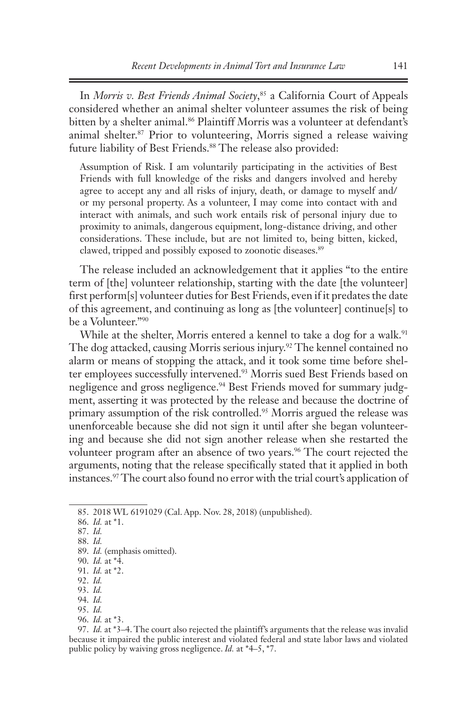In *Morris v. Best Friends Animal Society*, 85 a California Court of Appeals considered whether an animal shelter volunteer assumes the risk of being bitten by a shelter animal.<sup>86</sup> Plaintiff Morris was a volunteer at defendant's animal shelter.87 Prior to volunteering, Morris signed a release waiving future liability of Best Friends.<sup>88</sup> The release also provided:

Assumption of Risk. I am voluntarily participating in the activities of Best Friends with full knowledge of the risks and dangers involved and hereby agree to accept any and all risks of injury, death, or damage to myself and/ or my personal property. As a volunteer, I may come into contact with and interact with animals, and such work entails risk of personal injury due to proximity to animals, dangerous equipment, long-distance driving, and other considerations. These include, but are not limited to, being bitten, kicked, clawed, tripped and possibly exposed to zoonotic diseases.<sup>89</sup>

The release included an acknowledgement that it applies "to the entire term of [the] volunteer relationship, starting with the date [the volunteer] first perform[s] volunteer duties for Best Friends, even if it predates the date of this agreement, and continuing as long as [the volunteer] continue[s] to be a Volunteer."90

While at the shelter, Morris entered a kennel to take a dog for a walk.<sup>91</sup> The dog attacked, causing Morris serious injury.<sup>92</sup> The kennel contained no alarm or means of stopping the attack, and it took some time before shelter employees successfully intervened.<sup>93</sup> Morris sued Best Friends based on negligence and gross negligence.<sup>94</sup> Best Friends moved for summary judgment, asserting it was protected by the release and because the doctrine of primary assumption of the risk controlled.<sup>95</sup> Morris argued the release was unenforceable because she did not sign it until after she began volunteering and because she did not sign another release when she restarted the volunteer program after an absence of two years.<sup>96</sup> The court rejected the arguments, noting that the release specifically stated that it applied in both instances.97 The court also found no error with the trial court's application of

94. *Id.* 

96. *Id.* at \*3.

<sup>85.</sup> 2018 WL 6191029 (Cal. App. Nov. 28, 2018) (unpublished).

<sup>86.</sup> *Id.* at \*1.

<sup>87.</sup> *Id.* 

<sup>88.</sup> *Id.*

<sup>89.</sup> *Id.* (emphasis omitted).

<sup>90.</sup> *Id.* at \*4.

<sup>91.</sup> *Id.* at \*2. 92. *Id.*

<sup>93.</sup> *Id.*

<sup>95.</sup> *Id.*

<sup>97.</sup> *Id.* at \*3–4. The court also rejected the plaintiff's arguments that the release was invalid because it impaired the public interest and violated federal and state labor laws and violated public policy by waiving gross negligence. *Id.* at \*4–5, \*7.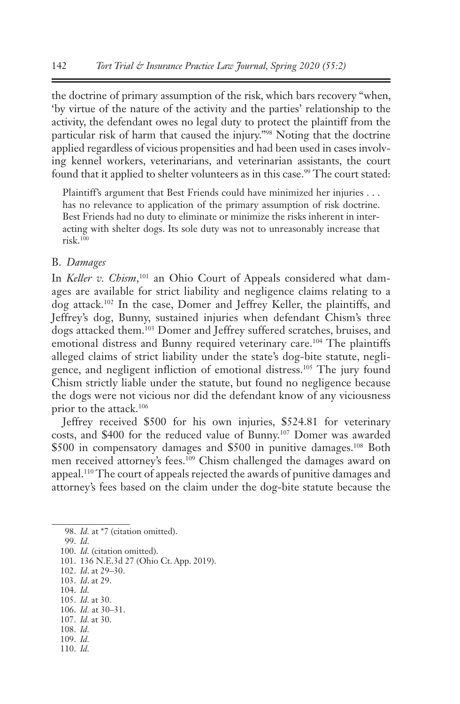the doctrine of primary assumption of the risk, which bars recovery "when, 'by virtue of the nature of the activity and the parties' relationship to the activity, the defendant owes no legal duty to protect the plaintiff from the particular risk of harm that caused the injury."98 Noting that the doctrine applied regardless of vicious propensities and had been used in cases involving kennel workers, veterinarians, and veterinarian assistants, the court found that it applied to shelter volunteers as in this case.<sup>99</sup> The court stated:

Plaintiff's argument that Best Friends could have minimized her injuries . . . has no relevance to application of the primary assumption of risk doctrine. Best Friends had no duty to eliminate or minimize the risks inherent in interacting with shelter dogs. Its sole duty was not to unreasonably increase that  $risk$ <sup>100</sup>

### B. *Damages*

In *Keller v. Chism*, 101 an Ohio Court of Appeals considered what damages are available for strict liability and negligence claims relating to a dog attack.102 In the case, Domer and Jeffrey Keller, the plaintiffs, and Jeffrey's dog, Bunny, sustained injuries when defendant Chism's three dogs attacked them.103 Domer and Jeffrey suffered scratches, bruises, and emotional distress and Bunny required veterinary care.<sup>104</sup> The plaintiffs alleged claims of strict liability under the state's dog-bite statute, negligence, and negligent infliction of emotional distress.105 The jury found Chism strictly liable under the statute, but found no negligence because the dogs were not vicious nor did the defendant know of any viciousness prior to the attack.106

Jeffrey received \$500 for his own injuries, \$524.81 for veterinary costs, and \$400 for the reduced value of Bunny.107 Domer was awarded \$500 in compensatory damages and \$500 in punitive damages.<sup>108</sup> Both men received attorney's fees.109 Chism challenged the damages award on appeal.<sup>110</sup> The court of appeals rejected the awards of punitive damages and attorney's fees based on the claim under the dog-bite statute because the

98. *Id.* at \*7 (citation omitted).

99. *Id.*

100. *Id.* (citation omitted).

101. 136 N.E.3d 27 (Ohio Ct. App. 2019).

102. *Id*. at 29–30.

- 103. *Id*. at 29.
- 104. *Id.* 105. *Id.* at 30.
- 106. *Id.* at 30–31.
- 107. *Id.* at 30.
- 108. *Id.*
- 109. *Id.*
- 110. *Id.*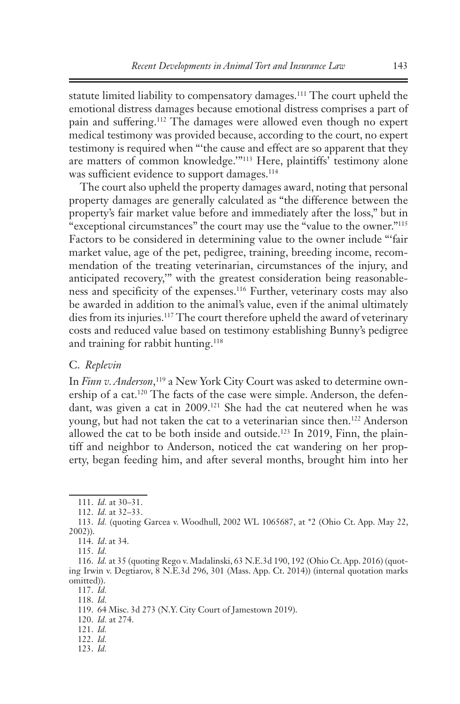statute limited liability to compensatory damages.111 The court upheld the emotional distress damages because emotional distress comprises a part of pain and suffering.112 The damages were allowed even though no expert medical testimony was provided because, according to the court, no expert testimony is required when "'the cause and effect are so apparent that they are matters of common knowledge.'"113 Here, plaintiffs' testimony alone was sufficient evidence to support damages.<sup>114</sup>

The court also upheld the property damages award, noting that personal property damages are generally calculated as "the difference between the property's fair market value before and immediately after the loss," but in "exceptional circumstances" the court may use the "value to the owner."115 Factors to be considered in determining value to the owner include "'fair market value, age of the pet, pedigree, training, breeding income, recommendation of the treating veterinarian, circumstances of the injury, and anticipated recovery,'" with the greatest consideration being reasonableness and specificity of the expenses.116 Further, veterinary costs may also be awarded in addition to the animal's value, even if the animal ultimately dies from its injuries.<sup>117</sup> The court therefore upheld the award of veterinary costs and reduced value based on testimony establishing Bunny's pedigree and training for rabbit hunting.<sup>118</sup>

### C. *Replevin*

In *Finn v. Anderson*, 119 a New York City Court was asked to determine ownership of a cat.<sup>120</sup> The facts of the case were simple. Anderson, the defendant, was given a cat in 2009.121 She had the cat neutered when he was young, but had not taken the cat to a veterinarian since then.122 Anderson allowed the cat to be both inside and outside.<sup>123</sup> In 2019, Finn, the plaintiff and neighbor to Anderson, noticed the cat wandering on her property, began feeding him, and after several months, brought him into her

<sup>111.</sup> *Id.* at 30–31.

<sup>112.</sup> *Id.* at 32–33.

<sup>113.</sup> *Id.* (quoting Garcea v. Woodhull, 2002 WL 1065687, at \*2 (Ohio Ct. App. May 22, 2002)).

<sup>114.</sup> *Id*. at 34.

<sup>115.</sup> *Id.*

<sup>116.</sup> *Id.* at 35 (quoting Rego v. Madalinski, 63 N.E.3d 190, 192 (Ohio Ct. App. 2016) (quoting Irwin v. Degtiarov, 8 N.E.3d 296, 301 (Mass. App. Ct. 2014)) (internal quotation marks omitted)).

<sup>117.</sup> *Id.* 118. *Id.*

<sup>119.</sup> 64 Misc. 3d 273 (N.Y. City Court of Jamestown 2019).

<sup>120.</sup> *Id.* at 274.

<sup>121.</sup> *Id.*

<sup>122.</sup> *Id.* 

<sup>123.</sup> *Id.*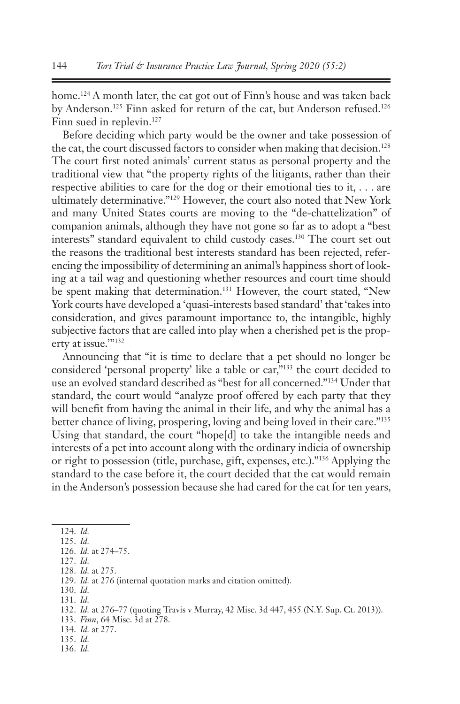home.<sup>124</sup> A month later, the cat got out of Finn's house and was taken back by Anderson.<sup>125</sup> Finn asked for return of the cat, but Anderson refused.<sup>126</sup> Finn sued in replevin.<sup>127</sup>

Before deciding which party would be the owner and take possession of the cat, the court discussed factors to consider when making that decision.<sup>128</sup> The court first noted animals' current status as personal property and the traditional view that "the property rights of the litigants, rather than their respective abilities to care for the dog or their emotional ties to it, . . . are ultimately determinative."129 However, the court also noted that New York and many United States courts are moving to the "de-chattelization" of companion animals, although they have not gone so far as to adopt a "best interests" standard equivalent to child custody cases.130 The court set out the reasons the traditional best interests standard has been rejected, referencing the impossibility of determining an animal's happiness short of looking at a tail wag and questioning whether resources and court time should be spent making that determination.<sup>131</sup> However, the court stated, "New York courts have developed a 'quasi-interests based standard' that 'takes into consideration, and gives paramount importance to, the intangible, highly subjective factors that are called into play when a cherished pet is the property at issue.'"132

Announcing that "it is time to declare that a pet should no longer be considered 'personal property' like a table or car,"133 the court decided to use an evolved standard described as "best for all concerned."134 Under that standard, the court would "analyze proof offered by each party that they will benefit from having the animal in their life, and why the animal has a better chance of living, prospering, loving and being loved in their care."135 Using that standard, the court "hope[d] to take the intangible needs and interests of a pet into account along with the ordinary indicia of ownership or right to possession (title, purchase, gift, expenses, etc.)."136 Applying the standard to the case before it, the court decided that the cat would remain in the Anderson's possession because she had cared for the cat for ten years,

- 130. *Id.*
- 131. *Id.*

- 133. *Finn*, 64 Misc. 3d at 278.
- 134. *Id.* at 277.
- 135. *Id.*
- 136. *Id.*

<sup>124.</sup> *Id.*

<sup>125.</sup> *Id.* 126. *Id.* at 274–75.

<sup>127.</sup> *Id.*

<sup>128.</sup> *Id.* at 275.

<sup>129.</sup> *Id.* at 276 (internal quotation marks and citation omitted).

<sup>132.</sup> *Id.* at 276–77 (quoting Travis v Murray, 42 Misc. 3d 447, 455 (N.Y. Sup. Ct. 2013)).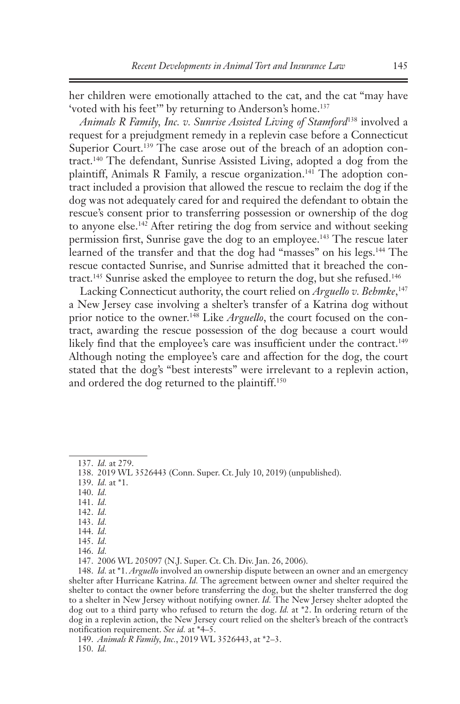her children were emotionally attached to the cat, and the cat "may have 'voted with his feet'" by returning to Anderson's home.137

*Animals R Family, Inc. v. Sunrise Assisted Living of Stamford*<sup>138</sup> involved a request for a prejudgment remedy in a replevin case before a Connecticut Superior Court.<sup>139</sup> The case arose out of the breach of an adoption contract.140 The defendant, Sunrise Assisted Living, adopted a dog from the plaintiff, Animals R Family, a rescue organization.<sup>141</sup> The adoption contract included a provision that allowed the rescue to reclaim the dog if the dog was not adequately cared for and required the defendant to obtain the rescue's consent prior to transferring possession or ownership of the dog to anyone else.<sup>142</sup> After retiring the dog from service and without seeking permission first, Sunrise gave the dog to an employee.143 The rescue later learned of the transfer and that the dog had "masses" on his legs.<sup>144</sup> The rescue contacted Sunrise, and Sunrise admitted that it breached the contract.<sup>145</sup> Sunrise asked the employee to return the dog, but she refused.<sup>146</sup>

Lacking Connecticut authority, the court relied on *Arguello v. Behmke*, 147 a New Jersey case involving a shelter's transfer of a Katrina dog without prior notice to the owner.148 Like *Arguello*, the court focused on the contract, awarding the rescue possession of the dog because a court would likely find that the employee's care was insufficient under the contract.<sup>149</sup> Although noting the employee's care and affection for the dog, the court stated that the dog's "best interests" were irrelevant to a replevin action, and ordered the dog returned to the plaintiff.150

139. *Id.* at \*1.

140. *Id.*

141. *Id.*

142. *Id.*

143. *Id.*

<sup>137.</sup> *Id.* at 279.

<sup>138.</sup> 2019 WL 3526443 (Conn. Super. Ct. July 10, 2019) (unpublished).

<sup>144.</sup> *Id.* 145. *Id.*

<sup>146.</sup> *Id.*

<sup>147.</sup> 2006 WL 205097 (N.J. Super. Ct. Ch. Div. Jan. 26, 2006).

<sup>148.</sup> *Id.* at \*1. *Arguello* involved an ownership dispute between an owner and an emergency shelter after Hurricane Katrina. *Id.* The agreement between owner and shelter required the shelter to contact the owner before transferring the dog, but the shelter transferred the dog to a shelter in New Jersey without notifying owner. *Id.* The New Jersey shelter adopted the dog out to a third party who refused to return the dog. *Id.* at \*2. In ordering return of the dog in a replevin action, the New Jersey court relied on the shelter's breach of the contract's notification requirement. *See id.* at \*4–5.

<sup>149.</sup> *Animals R Family, Inc.*, 2019 WL 3526443, at \*2–3. 150. *Id.*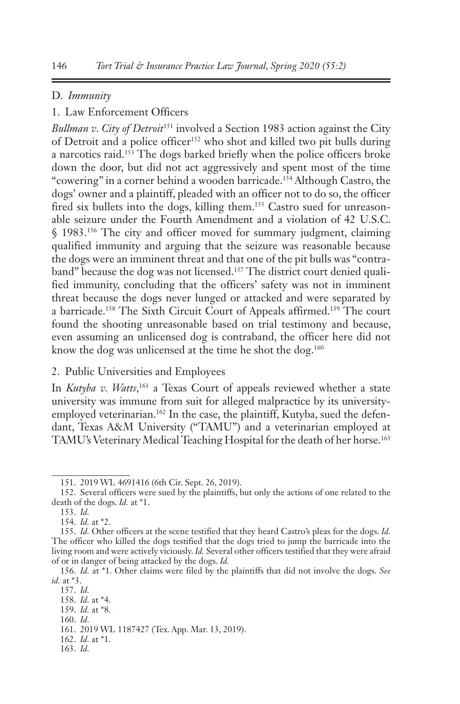### D. *Immunity*

# 1. Law Enforcement Officers

*Bullman v. City of Detroit*151 involved a Section 1983 action against the City of Detroit and a police officer<sup>152</sup> who shot and killed two pit bulls during a narcotics raid.153 The dogs barked briefly when the police officers broke down the door, but did not act aggressively and spent most of the time "cowering" in a corner behind a wooden barricade.<sup>154</sup> Although Castro, the dogs' owner and a plaintiff, pleaded with an officer not to do so, the officer fired six bullets into the dogs, killing them.<sup>155</sup> Castro sued for unreasonable seizure under the Fourth Amendment and a violation of 42 U.S.C. § 1983.156 The city and officer moved for summary judgment, claiming qualified immunity and arguing that the seizure was reasonable because the dogs were an imminent threat and that one of the pit bulls was "contraband" because the dog was not licensed.<sup>157</sup> The district court denied qualified immunity, concluding that the officers' safety was not in imminent threat because the dogs never lunged or attacked and were separated by a barricade.158 The Sixth Circuit Court of Appeals affirmed.159 The court found the shooting unreasonable based on trial testimony and because, even assuming an unlicensed dog is contraband, the officer here did not know the dog was unlicensed at the time he shot the dog.<sup>160</sup>

# 2. Public Universities and Employees

In *Kutyba v. Watts*, 161 a Texas Court of appeals reviewed whether a state university was immune from suit for alleged malpractice by its universityemployed veterinarian.<sup>162</sup> In the case, the plaintiff, Kutyba, sued the defendant, Texas A&M University ("TAMU") and a veterinarian employed at TAMU's Veterinary Medical Teaching Hospital for the death of her horse.163

159. *Id.* at \*8. 160. *Id.*

162. *Id.* at \*1.

<sup>151.</sup> 2019 WL 4691416 (6th Cir. Sept. 26, 2019).

<sup>152.</sup> Several officers were sued by the plaintiffs, but only the actions of one related to the death of the dogs. *Id.* at \*1.

<sup>153.</sup> *Id.* 

<sup>154.</sup> *Id.* at \*2.

<sup>155.</sup> *Id.* Other officers at the scene testified that they heard Castro's pleas for the dogs. *Id.* The officer who killed the dogs testified that the dogs tried to jump the barricade into the living room and were actively viciously. *Id.* Several other officers testified that they were afraid of or in danger of being attacked by the dogs. *Id.* 

<sup>156.</sup> *Id.* at \*1. Other claims were filed by the plaintiffs that did not involve the dogs. *See id.* at \*3.

<sup>157.</sup> *Id.*

<sup>158.</sup> *Id.* at \*4.

<sup>161.</sup> 2019 WL 1187427 (Tex. App. Mar. 13, 2019).

<sup>163.</sup> *Id.*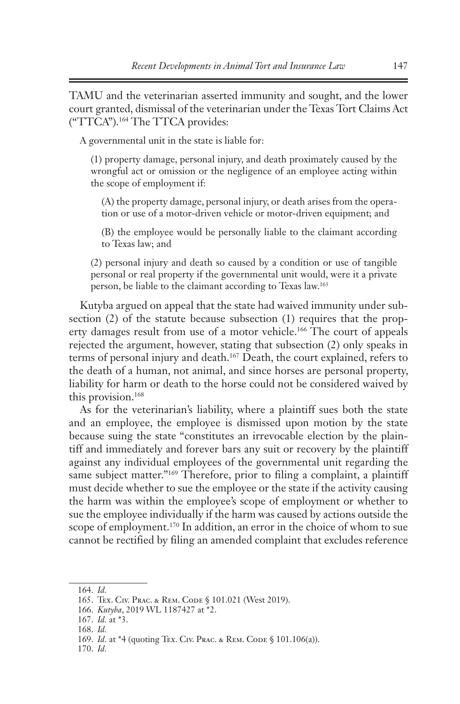TAMU and the veterinarian asserted immunity and sought, and the lower court granted, dismissal of the veterinarian under the Texas Tort Claims Act ("TTCA").164 The TTCA provides:

A governmental unit in the state is liable for:

(1) property damage, personal injury, and death proximately caused by the wrongful act or omission or the negligence of an employee acting within the scope of employment if:

(A) the property damage, personal injury, or death arises from the operation or use of a motor-driven vehicle or motor-driven equipment; and

(B) the employee would be personally liable to the claimant according to Texas law; and

(2) personal injury and death so caused by a condition or use of tangible personal or real property if the governmental unit would, were it a private person, be liable to the claimant according to Texas law.165

Kutyba argued on appeal that the state had waived immunity under subsection (2) of the statute because subsection (1) requires that the property damages result from use of a motor vehicle.<sup>166</sup> The court of appeals rejected the argument, however, stating that subsection (2) only speaks in terms of personal injury and death.167 Death, the court explained, refers to the death of a human, not animal, and since horses are personal property, liability for harm or death to the horse could not be considered waived by this provision.168

As for the veterinarian's liability, where a plaintiff sues both the state and an employee, the employee is dismissed upon motion by the state because suing the state "constitutes an irrevocable election by the plaintiff and immediately and forever bars any suit or recovery by the plaintiff against any individual employees of the governmental unit regarding the same subject matter."<sup>169</sup> Therefore, prior to filing a complaint, a plaintiff must decide whether to sue the employee or the state if the activity causing the harm was within the employee's scope of employment or whether to sue the employee individually if the harm was caused by actions outside the scope of employment.<sup>170</sup> In addition, an error in the choice of whom to sue cannot be rectified by filing an amended complaint that excludes reference

<sup>164.</sup> *Id.*

<sup>165.</sup> Tex. Civ. Prac. & Rem. Code § 101.021 (West 2019).

<sup>166.</sup> *Kutyba*, 2019 WL 1187427 at \*2.

<sup>167.</sup> *Id.* at \*3.

<sup>168.</sup> *Id.*

<sup>169.</sup> *Id.* at \*4 (quoting Tex. Civ. Рвас. & Rем. Соре § 101.106(а)).

<sup>170.</sup> *Id.*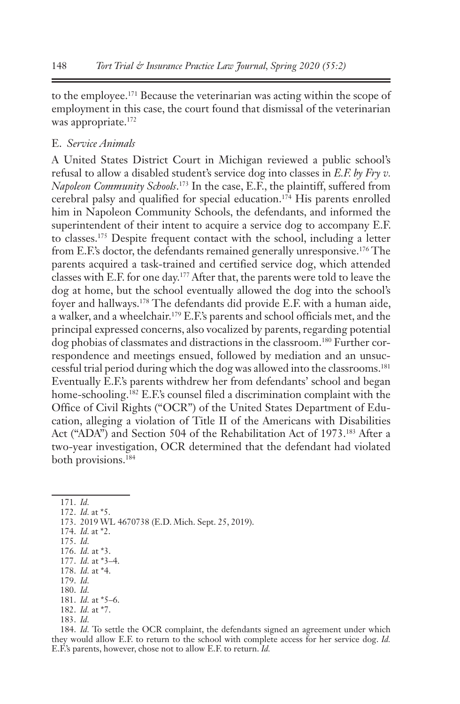to the employee.171 Because the veterinarian was acting within the scope of employment in this case, the court found that dismissal of the veterinarian was appropriate.<sup>172</sup>

# E. *Service Animals*

A United States District Court in Michigan reviewed a public school's refusal to allow a disabled student's service dog into classes in *E.F. by Fry v. Napoleon Community Schools*. 173 In the case, E.F., the plaintiff, suffered from cerebral palsy and qualified for special education.174 His parents enrolled him in Napoleon Community Schools, the defendants, and informed the superintendent of their intent to acquire a service dog to accompany E.F. to classes.175 Despite frequent contact with the school, including a letter from E.F.'s doctor, the defendants remained generally unresponsive.176 The parents acquired a task-trained and certified service dog, which attended classes with E.F. for one day.177 After that, the parents were told to leave the dog at home, but the school eventually allowed the dog into the school's foyer and hallways.178 The defendants did provide E.F. with a human aide, a walker, and a wheelchair.179 E.F.'s parents and school officials met, and the principal expressed concerns, also vocalized by parents, regarding potential dog phobias of classmates and distractions in the classroom.<sup>180</sup> Further correspondence and meetings ensued, followed by mediation and an unsuccessful trial period during which the dog was allowed into the classrooms.181 Eventually E.F.'s parents withdrew her from defendants' school and began home-schooling.<sup>182</sup> E.F.'s counsel filed a discrimination complaint with the Office of Civil Rights ("OCR") of the United States Department of Education, alleging a violation of Title II of the Americans with Disabilities Act ("ADA") and Section 504 of the Rehabilitation Act of 1973.183 After a two-year investigation, OCR determined that the defendant had violated both provisions.184

171. *Id.*

- 172. *Id.* at \*5.
- 173. 2019 WL 4670738 (E.D. Mich. Sept. 25, 2019).
- 174. *Id.* at \*2.
- 175. *Id.*
- 176. *Id.* at \*3.
- 177. *Id.* at \*3–4. 178. *Id.* at \*4.
- 179. *Id.*
- 180. *Id.*
- 181. *Id.* at \*5–6.
- 182. *Id.* at \*7.
- 183. *Id.*

184. *Id.* To settle the OCR complaint, the defendants signed an agreement under which they would allow E.F. to return to the school with complete access for her service dog. *Id.* E.F.'s parents, however, chose not to allow E.F. to return. *Id.*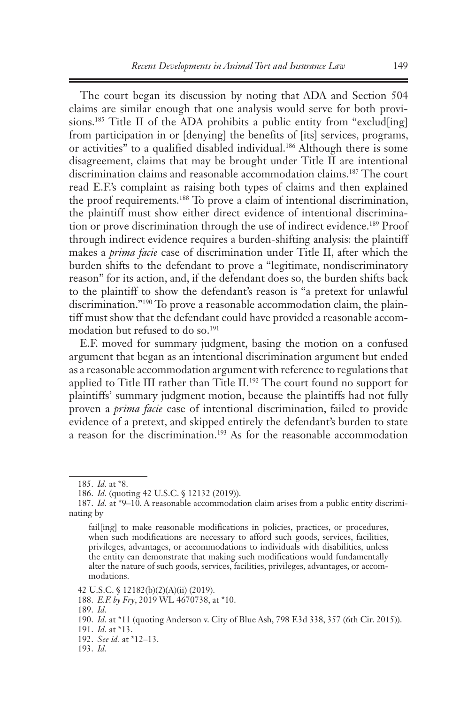The court began its discussion by noting that ADA and Section 504 claims are similar enough that one analysis would serve for both provisions.<sup>185</sup> Title II of the ADA prohibits a public entity from "exclud[ing] from participation in or [denying] the benefits of [its] services, programs, or activities" to a qualified disabled individual.<sup>186</sup> Although there is some disagreement, claims that may be brought under Title II are intentional discrimination claims and reasonable accommodation claims.187 The court read E.F.'s complaint as raising both types of claims and then explained the proof requirements.188 To prove a claim of intentional discrimination, the plaintiff must show either direct evidence of intentional discrimination or prove discrimination through the use of indirect evidence.189 Proof through indirect evidence requires a burden-shifting analysis: the plaintiff makes a *prima facie* case of discrimination under Title II, after which the burden shifts to the defendant to prove a "legitimate, nondiscriminatory reason" for its action, and, if the defendant does so, the burden shifts back to the plaintiff to show the defendant's reason is "a pretext for unlawful discrimination."<sup>190</sup> To prove a reasonable accommodation claim, the plaintiff must show that the defendant could have provided a reasonable accommodation but refused to do so.<sup>191</sup>

E.F. moved for summary judgment, basing the motion on a confused argument that began as an intentional discrimination argument but ended as a reasonable accommodation argument with reference to regulations that applied to Title III rather than Title  $II^{192}$  The court found no support for plaintiffs' summary judgment motion, because the plaintiffs had not fully proven a *prima facie* case of intentional discrimination, failed to provide evidence of a pretext, and skipped entirely the defendant's burden to state a reason for the discrimination.<sup>193</sup> As for the reasonable accommodation

<sup>185.</sup> *Id.* at \*8.

<sup>186.</sup> *Id.* (quoting 42 U.S.C. § 12132 (2019)).

<sup>187.</sup> *Id.* at \*9–10. A reasonable accommodation claim arises from a public entity discriminating by

fail[ing] to make reasonable modifications in policies, practices, or procedures, when such modifications are necessary to afford such goods, services, facilities, privileges, advantages, or accommodations to individuals with disabilities, unless the entity can demonstrate that making such modifications would fundamentally alter the nature of such goods, services, facilities, privileges, advantages, or accommodations.

<sup>42</sup> U.S.C. § 12182(b)(2)(A)(ii) (2019).

<sup>188.</sup> *E.F. by Fry*, 2019 WL 4670738, at \*10.

<sup>189.</sup> *Id.* 

<sup>190.</sup> *Id.* at \*11 (quoting Anderson v. City of Blue Ash, 798 F.3d 338, 357 (6th Cir. 2015)).

<sup>191.</sup> *Id.* at \*13.

<sup>192.</sup> *See id.* at \*12–13.

<sup>193.</sup> *Id.*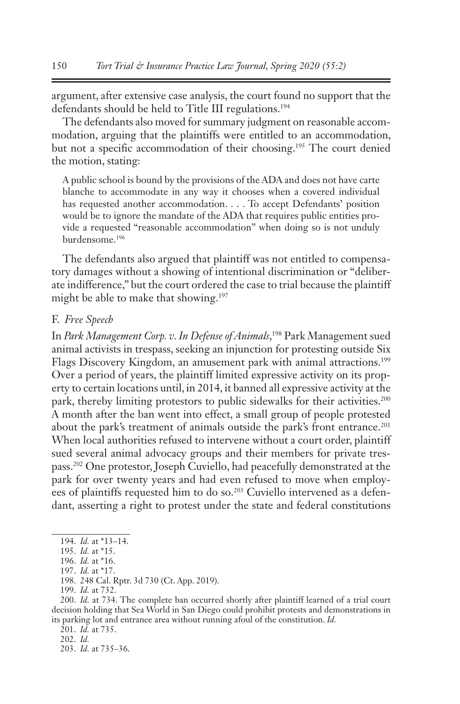argument, after extensive case analysis, the court found no support that the defendants should be held to Title III regulations.<sup>194</sup>

The defendants also moved for summary judgment on reasonable accommodation, arguing that the plaintiffs were entitled to an accommodation, but not a specific accommodation of their choosing.195 The court denied the motion, stating:

A public school is bound by the provisions of the ADA and does not have carte blanche to accommodate in any way it chooses when a covered individual has requested another accommodation. . . . To accept Defendants' position would be to ignore the mandate of the ADA that requires public entities provide a requested "reasonable accommodation" when doing so is not unduly burdensome.196

The defendants also argued that plaintiff was not entitled to compensatory damages without a showing of intentional discrimination or "deliberate indifference," but the court ordered the case to trial because the plaintiff might be able to make that showing.<sup>197</sup>

# F. *Free Speech*

In *Park Management Corp. v. In Defense of Animals*, 198 Park Management sued animal activists in trespass, seeking an injunction for protesting outside Six Flags Discovery Kingdom, an amusement park with animal attractions.<sup>199</sup> Over a period of years, the plaintiff limited expressive activity on its property to certain locations until, in 2014, it banned all expressive activity at the park, thereby limiting protestors to public sidewalks for their activities.<sup>200</sup> A month after the ban went into effect, a small group of people protested about the park's treatment of animals outside the park's front entrance.<sup>201</sup> When local authorities refused to intervene without a court order, plaintiff sued several animal advocacy groups and their members for private trespass.202 One protestor, Joseph Cuviello, had peacefully demonstrated at the park for over twenty years and had even refused to move when employees of plaintiffs requested him to do so.203 Cuviello intervened as a defendant, asserting a right to protest under the state and federal constitutions

201. *Id.* at 735.

202. *Id.*

<sup>194.</sup> *Id.* at \*13–14.

<sup>195.</sup> *Id.* at \*15.

<sup>196.</sup> *Id.* at \*16.

<sup>197.</sup> *Id.* at \*17.

<sup>198.</sup> 248 Cal. Rptr. 3d 730 (Ct. App. 2019).

<sup>199.</sup> *Id.* at 732.

<sup>200.</sup> *Id.* at 734. The complete ban occurred shortly after plaintiff learned of a trial court decision holding that Sea World in San Diego could prohibit protests and demonstrations in its parking lot and entrance area without running afoul of the constitution. *Id.*

<sup>203.</sup> *Id.* at 735–36.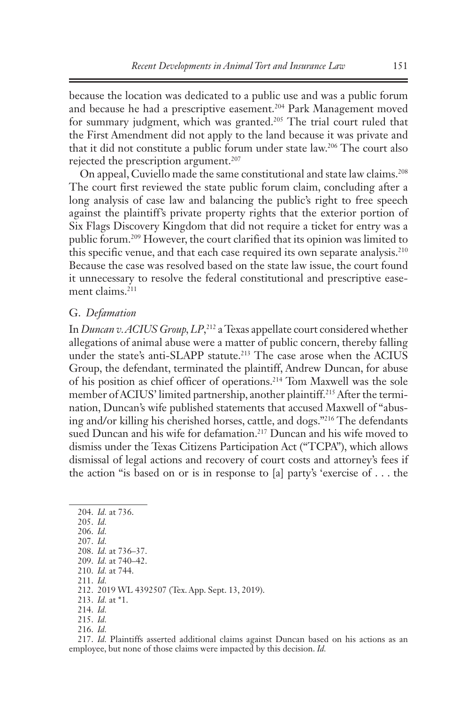because the location was dedicated to a public use and was a public forum and because he had a prescriptive easement.<sup>204</sup> Park Management moved for summary judgment, which was granted.<sup>205</sup> The trial court ruled that the First Amendment did not apply to the land because it was private and that it did not constitute a public forum under state law.206 The court also rejected the prescription argument.<sup>207</sup>

On appeal, Cuviello made the same constitutional and state law claims.208 The court first reviewed the state public forum claim, concluding after a long analysis of case law and balancing the public's right to free speech against the plaintiff's private property rights that the exterior portion of Six Flags Discovery Kingdom that did not require a ticket for entry was a public forum.209 However, the court clarified that its opinion was limited to this specific venue, and that each case required its own separate analysis.<sup>210</sup> Because the case was resolved based on the state law issue, the court found it unnecessary to resolve the federal constitutional and prescriptive easement claims.<sup>211</sup>

### G. *Defamation*

In *Duncan v. ACIUS Group, LP*, 212 a Texas appellate court considered whether allegations of animal abuse were a matter of public concern, thereby falling under the state's anti-SLAPP statute.<sup>213</sup> The case arose when the ACIUS Group, the defendant, terminated the plaintiff, Andrew Duncan, for abuse of his position as chief officer of operations.214 Tom Maxwell was the sole member of ACIUS' limited partnership, another plaintiff.215 After the termination, Duncan's wife published statements that accused Maxwell of "abusing and/or killing his cherished horses, cattle, and dogs."216 The defendants sued Duncan and his wife for defamation.<sup>217</sup> Duncan and his wife moved to dismiss under the Texas Citizens Participation Act ("TCPA"), which allows dismissal of legal actions and recovery of court costs and attorney's fees if the action "is based on or is in response to [a] party's 'exercise of . . . the

204. *Id.* at 736. 205. *Id.* 206. *Id.* 207. *Id.* 208. *Id.* at 736–37. 209. *Id.* at 740–42. 210. *Id.* at 744. 211. *Id.*  212. 2019 WL 4392507 (Tex. App. Sept. 13, 2019). 213. *Id.* at \*1. 214. *Id.*  215. *Id.*  216. *Id.* 

217. *Id.* Plaintiffs asserted additional claims against Duncan based on his actions as an employee, but none of those claims were impacted by this decision. *Id.*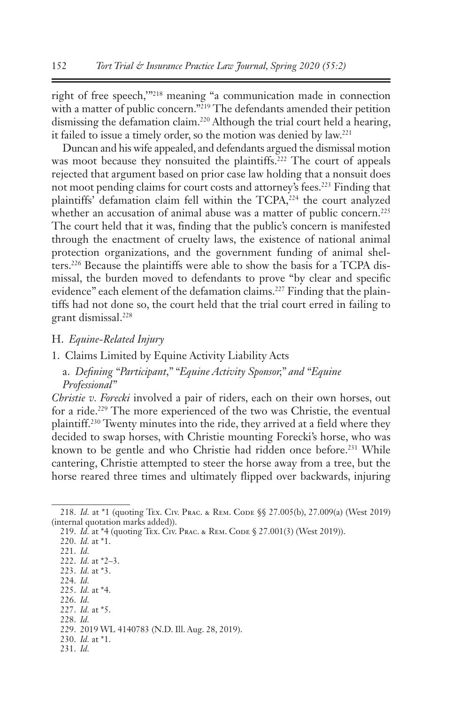right of free speech,'"218 meaning "a communication made in connection with a matter of public concern."<sup>219</sup> The defendants amended their petition dismissing the defamation claim.220 Although the trial court held a hearing, it failed to issue a timely order, so the motion was denied by law.221

Duncan and his wife appealed, and defendants argued the dismissal motion was moot because they nonsuited the plaintiffs.<sup>222</sup> The court of appeals rejected that argument based on prior case law holding that a nonsuit does not moot pending claims for court costs and attorney's fees.<sup>223</sup> Finding that plaintiffs' defamation claim fell within the TCPA,<sup>224</sup> the court analyzed whether an accusation of animal abuse was a matter of public concern.<sup>225</sup> The court held that it was, finding that the public's concern is manifested through the enactment of cruelty laws, the existence of national animal protection organizations, and the government funding of animal shelters.226 Because the plaintiffs were able to show the basis for a TCPA dismissal, the burden moved to defendants to prove "by clear and specific evidence" each element of the defamation claims.<sup>227</sup> Finding that the plaintiffs had not done so, the court held that the trial court erred in failing to grant dismissal.228

- H. *Equine-Related Injury*
- 1. Claims Limited by Equine Activity Liability Acts
	- a. *Defining "Participant," "Equine Activity Sponsor," and "Equine Professional"*

*Christie v. Forecki* involved a pair of riders, each on their own horses, out for a ride.229 The more experienced of the two was Christie, the eventual plaintiff.230 Twenty minutes into the ride, they arrived at a field where they decided to swap horses, with Christie mounting Forecki's horse, who was known to be gentle and who Christie had ridden once before.<sup>231</sup> While cantering, Christie attempted to steer the horse away from a tree, but the horse reared three times and ultimately flipped over backwards, injuring

- 224. *Id.*
- 225. *Id.* at \*4.
- 226. *Id.*

228. *Id.*

- 230. *Id.* at \*1.
- 231. *Id.*

<sup>218.</sup> *Id.* at \*1 (quoting Tex. Civ. Prac. & Rem. Code §§ 27.005(b), 27.009(a) (West 2019) (internal quotation marks added)).

<sup>219.</sup> *Id.* at \*4 (quoting Tex. Civ. Prac. & REM. CODE § 27.001(3) (West 2019)).

<sup>220.</sup> *Id.* at \*1.

<sup>221.</sup> *Id.*

<sup>222.</sup> *Id.* at \*2–3. 223. *Id.* at \*3.

<sup>227.</sup> *Id.* at \*5.

<sup>229.</sup> 2019 WL 4140783 (N.D. Ill. Aug. 28, 2019).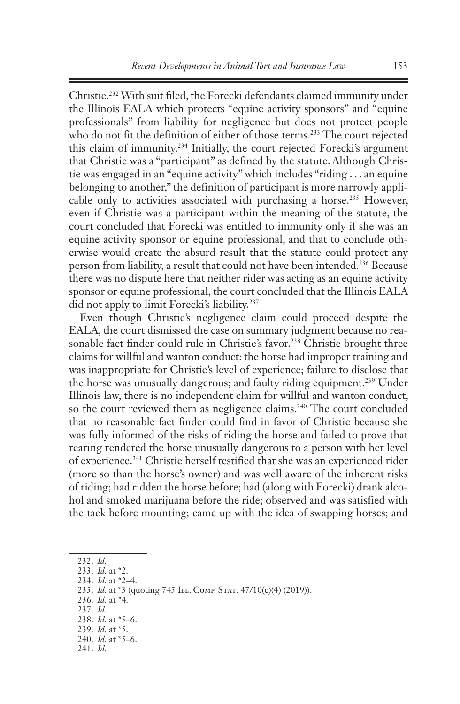Christie.232 With suit filed, the Forecki defendants claimed immunity under the Illinois EALA which protects "equine activity sponsors" and "equine professionals" from liability for negligence but does not protect people who do not fit the definition of either of those terms.<sup>233</sup> The court rejected this claim of immunity.234 Initially, the court rejected Forecki's argument that Christie was a "participant" as defined by the statute. Although Christie was engaged in an "equine activity" which includes "riding . . . an equine belonging to another," the definition of participant is more narrowly applicable only to activities associated with purchasing a horse.<sup>235</sup> However, even if Christie was a participant within the meaning of the statute, the court concluded that Forecki was entitled to immunity only if she was an equine activity sponsor or equine professional, and that to conclude otherwise would create the absurd result that the statute could protect any person from liability, a result that could not have been intended.236 Because there was no dispute here that neither rider was acting as an equine activity sponsor or equine professional, the court concluded that the Illinois EALA did not apply to limit Forecki's liability.237

Even though Christie's negligence claim could proceed despite the EALA, the court dismissed the case on summary judgment because no reasonable fact finder could rule in Christie's favor.<sup>238</sup> Christie brought three claims for willful and wanton conduct: the horse had improper training and was inappropriate for Christie's level of experience; failure to disclose that the horse was unusually dangerous; and faulty riding equipment.<sup>239</sup> Under Illinois law, there is no independent claim for willful and wanton conduct, so the court reviewed them as negligence claims.<sup>240</sup> The court concluded that no reasonable fact finder could find in favor of Christie because she was fully informed of the risks of riding the horse and failed to prove that rearing rendered the horse unusually dangerous to a person with her level of experience.241 Christie herself testified that she was an experienced rider (more so than the horse's owner) and was well aware of the inherent risks of riding; had ridden the horse before; had (along with Forecki) drank alcohol and smoked marijuana before the ride; observed and was satisfied with the tack before mounting; came up with the idea of swapping horses; and

<sup>232.</sup> *Id.*

<sup>233.</sup> *Id.* at \*2.

<sup>234.</sup> *Id.* at \*2–4.

<sup>235.</sup> *Id.* at \*3 (quoting 745 ILL. Сомр. Sтат. 47/10(с)(4) (2019)).

<sup>236.</sup> *Id.* at \*4.

<sup>237.</sup> *Id.*

<sup>238.</sup> *Id.* at \*5–6.

<sup>239.</sup> *Id.* at \*5. 240. *Id.* at \*5–6.

<sup>241.</sup> *Id.*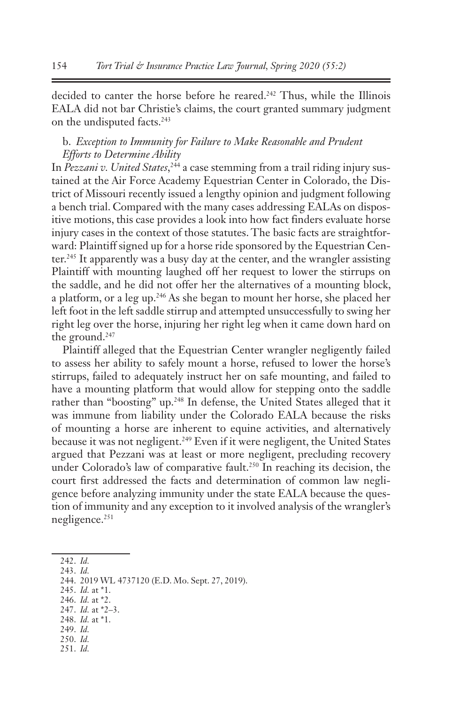decided to canter the horse before he reared.<sup>242</sup> Thus, while the Illinois EALA did not bar Christie's claims, the court granted summary judgment on the undisputed facts.243

# b. *Exception to Immunity for Failure to Make Reasonable and Prudent Efforts to Determine Ability*

In *Pezzani v. United States*, 244 a case stemming from a trail riding injury sustained at the Air Force Academy Equestrian Center in Colorado, the District of Missouri recently issued a lengthy opinion and judgment following a bench trial. Compared with the many cases addressing EALAs on dispositive motions, this case provides a look into how fact finders evaluate horse injury cases in the context of those statutes. The basic facts are straightforward: Plaintiff signed up for a horse ride sponsored by the Equestrian Center.245 It apparently was a busy day at the center, and the wrangler assisting Plaintiff with mounting laughed off her request to lower the stirrups on the saddle, and he did not offer her the alternatives of a mounting block, a platform, or a leg up.246 As she began to mount her horse, she placed her left foot in the left saddle stirrup and attempted unsuccessfully to swing her right leg over the horse, injuring her right leg when it came down hard on the ground.<sup>247</sup>

Plaintiff alleged that the Equestrian Center wrangler negligently failed to assess her ability to safely mount a horse, refused to lower the horse's stirrups, failed to adequately instruct her on safe mounting, and failed to have a mounting platform that would allow for stepping onto the saddle rather than "boosting" up.<sup>248</sup> In defense, the United States alleged that it was immune from liability under the Colorado EALA because the risks of mounting a horse are inherent to equine activities, and alternatively because it was not negligent.<sup>249</sup> Even if it were negligent, the United States argued that Pezzani was at least or more negligent, precluding recovery under Colorado's law of comparative fault.<sup>250</sup> In reaching its decision, the court first addressed the facts and determination of common law negligence before analyzing immunity under the state EALA because the question of immunity and any exception to it involved analysis of the wrangler's negligence.<sup>251</sup>

- 245. *Id.* at \*1.
- 246. *Id.* at \*2.
- 247. *Id.* at \*2–3. 248. *Id.* at \*1.
- 249. *Id.*
- 250. *Id.*
- 251. *Id.*

<sup>242.</sup> *Id.*

<sup>243.</sup> *Id.*

<sup>244.</sup> 2019 WL 4737120 (E.D. Mo. Sept. 27, 2019).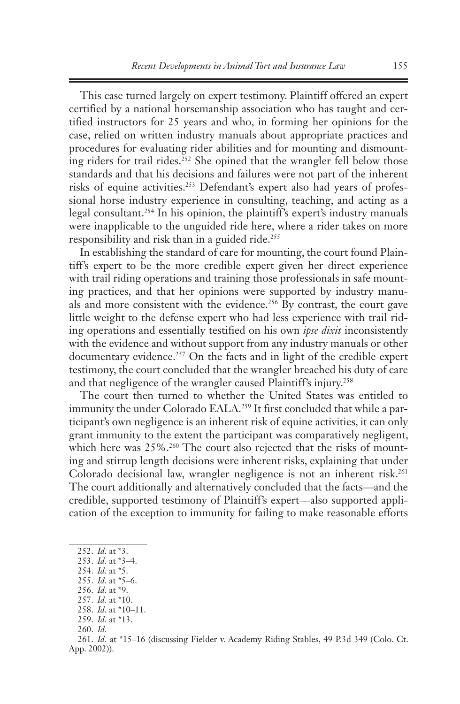This case turned largely on expert testimony. Plaintiff offered an expert certified by a national horsemanship association who has taught and certified instructors for 25 years and who, in forming her opinions for the case, relied on written industry manuals about appropriate practices and procedures for evaluating rider abilities and for mounting and dismounting riders for trail rides.252 She opined that the wrangler fell below those standards and that his decisions and failures were not part of the inherent risks of equine activities.<sup>253</sup> Defendant's expert also had years of professional horse industry experience in consulting, teaching, and acting as a legal consultant.254 In his opinion, the plaintiff's expert's industry manuals were inapplicable to the unguided ride here, where a rider takes on more responsibility and risk than in a guided ride.<sup>255</sup>

In establishing the standard of care for mounting, the court found Plaintiff's expert to be the more credible expert given her direct experience with trail riding operations and training those professionals in safe mounting practices, and that her opinions were supported by industry manuals and more consistent with the evidence.256 By contrast, the court gave little weight to the defense expert who had less experience with trail riding operations and essentially testified on his own *ipse dixit* inconsistently with the evidence and without support from any industry manuals or other documentary evidence.<sup>257</sup> On the facts and in light of the credible expert testimony, the court concluded that the wrangler breached his duty of care and that negligence of the wrangler caused Plaintiff's injury.<sup>258</sup>

The court then turned to whether the United States was entitled to immunity the under Colorado EALA.<sup>259</sup> It first concluded that while a participant's own negligence is an inherent risk of equine activities, it can only grant immunity to the extent the participant was comparatively negligent, which here was 25%.<sup>260</sup> The court also rejected that the risks of mounting and stirrup length decisions were inherent risks, explaining that under Colorado decisional law, wrangler negligence is not an inherent risk.<sup>261</sup> The court additionally and alternatively concluded that the facts—and the credible, supported testimony of Plaintiff's expert—also supported application of the exception to immunity for failing to make reasonable efforts

- 254. *Id.* at \*5.
- 255. *Id.* at \*5–6.

257. *Id.* at \*10.

- 259. *Id.* at \*13.
- 260. *Id.*

<sup>252.</sup> *Id.* at \*3.

<sup>253.</sup> *Id.* at \*3–4.

<sup>256.</sup> *Id.* at \*9.

<sup>258.</sup> *Id.* at \*10–11.

<sup>261.</sup> *Id.* at \*15–16 (discussing Fielder v. Academy Riding Stables, 49 P.3d 349 (Colo. Ct. App. 2002)).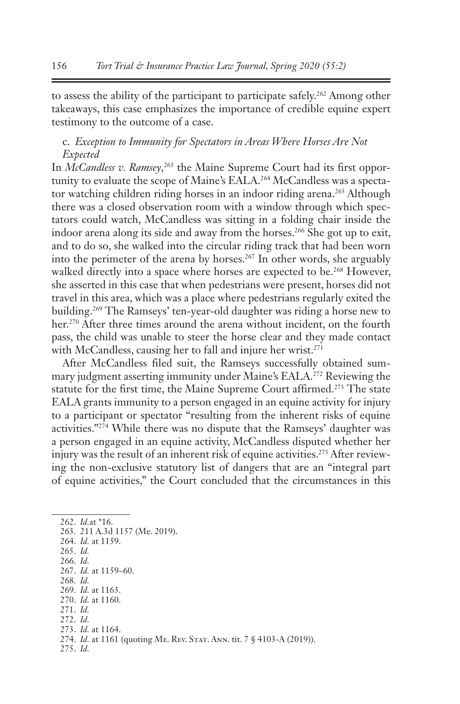to assess the ability of the participant to participate safely.<sup>262</sup> Among other takeaways, this case emphasizes the importance of credible equine expert testimony to the outcome of a case.

# c. *Exception to Immunity for Spectators in Areas Where Horses Are Not Expected*

In *McCandless v. Ramsey*,<sup>263</sup> the Maine Supreme Court had its first opportunity to evaluate the scope of Maine's EALA.<sup>264</sup> McCandless was a spectator watching children riding horses in an indoor riding arena.<sup>265</sup> Although there was a closed observation room with a window through which spectators could watch, McCandless was sitting in a folding chair inside the indoor arena along its side and away from the horses.<sup>266</sup> She got up to exit, and to do so, she walked into the circular riding track that had been worn into the perimeter of the arena by horses.<sup>267</sup> In other words, she arguably walked directly into a space where horses are expected to be.<sup>268</sup> However, she asserted in this case that when pedestrians were present, horses did not travel in this area, which was a place where pedestrians regularly exited the building.<sup>269</sup> The Ramseys' ten-year-old daughter was riding a horse new to her.<sup>270</sup> After three times around the arena without incident, on the fourth pass, the child was unable to steer the horse clear and they made contact with McCandless, causing her to fall and injure her wrist.<sup>271</sup>

After McCandless filed suit, the Ramseys successfully obtained summary judgment asserting immunity under Maine's EALA.<sup>272</sup> Reviewing the statute for the first time, the Maine Supreme Court affirmed.<sup>273</sup> The state EALA grants immunity to a person engaged in an equine activity for injury to a participant or spectator "resulting from the inherent risks of equine activities."274 While there was no dispute that the Ramseys' daughter was a person engaged in an equine activity, McCandless disputed whether her injury was the result of an inherent risk of equine activities.<sup>275</sup> After reviewing the non-exclusive statutory list of dangers that are an "integral part of equine activities," the Court concluded that the circumstances in this

262. *Id.*at \*16. 263. 211 A.3d 1157 (Me. 2019). 264. *Id.* at 1159. 265. *Id.* 266. *Id.* 267. *Id.* at 1159–60. 268. *Id.*  269. *Id.* at 1163. 270. *Id.* at 1160. 271. *Id.* 272. *Id.* 273. *Id.* at 1164. 274. *Id.* at 1161 (quoting ME. REV. STAT. ANN. tit. 7 § 4103-A (2019)). 275. *Id.*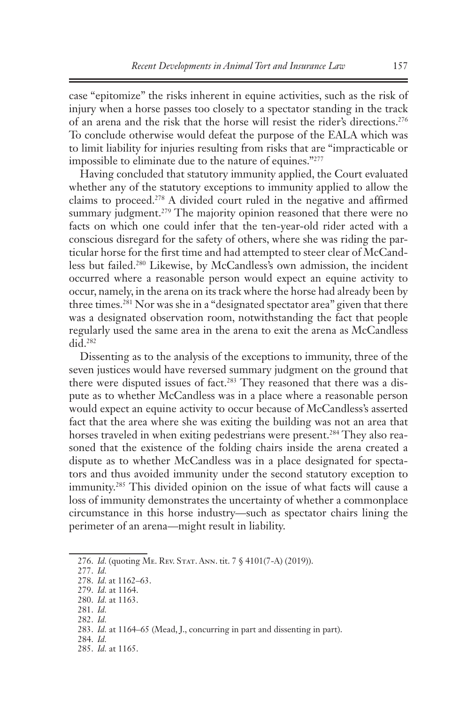case "epitomize" the risks inherent in equine activities, such as the risk of injury when a horse passes too closely to a spectator standing in the track of an arena and the risk that the horse will resist the rider's directions.276 To conclude otherwise would defeat the purpose of the EALA which was to limit liability for injuries resulting from risks that are "impracticable or impossible to eliminate due to the nature of equines."277

Having concluded that statutory immunity applied, the Court evaluated whether any of the statutory exceptions to immunity applied to allow the claims to proceed.<sup>278</sup> A divided court ruled in the negative and affirmed summary judgment.<sup>279</sup> The majority opinion reasoned that there were no facts on which one could infer that the ten-year-old rider acted with a conscious disregard for the safety of others, where she was riding the particular horse for the first time and had attempted to steer clear of McCandless but failed.280 Likewise, by McCandless's own admission, the incident occurred where a reasonable person would expect an equine activity to occur, namely, in the arena on its track where the horse had already been by three times.<sup>281</sup> Nor was she in a "designated spectator area" given that there was a designated observation room, notwithstanding the fact that people regularly used the same area in the arena to exit the arena as McCandless did.282

Dissenting as to the analysis of the exceptions to immunity, three of the seven justices would have reversed summary judgment on the ground that there were disputed issues of fact.<sup>283</sup> They reasoned that there was a dispute as to whether McCandless was in a place where a reasonable person would expect an equine activity to occur because of McCandless's asserted fact that the area where she was exiting the building was not an area that horses traveled in when exiting pedestrians were present.<sup>284</sup> They also reasoned that the existence of the folding chairs inside the arena created a dispute as to whether McCandless was in a place designated for spectators and thus avoided immunity under the second statutory exception to immunity.285 This divided opinion on the issue of what facts will cause a loss of immunity demonstrates the uncertainty of whether a commonplace circumstance in this horse industry—such as spectator chairs lining the perimeter of an arena—might result in liability.

<sup>276.</sup> *Id.* (quoting Me. Rev. Stat. Ann. tit. 7 § 4101(7-A) (2019)).

<sup>277.</sup> *Id.*

<sup>278.</sup> *Id.* at 1162–63.

<sup>279.</sup> *Id.* at 1164. 280. *Id.* at 1163.

<sup>281.</sup> *Id.*

<sup>282.</sup> *Id.*

<sup>283.</sup> *Id.* at 1164–65 (Mead, J., concurring in part and dissenting in part).

<sup>284.</sup> *Id.*

<sup>285.</sup> *Id.* at 1165.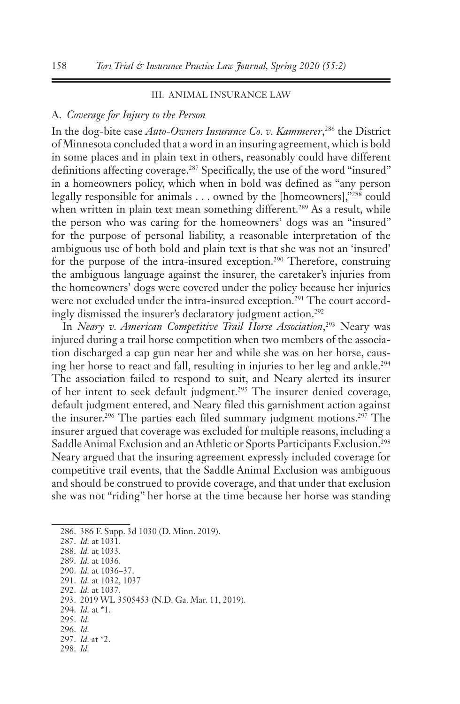### III. ANIMAL INSURANCE LAW

### A. *Coverage for Injury to the Person*

In the dog-bite case *Auto-Owners Insurance Co. v. Kammerer*, 286 the District of Minnesota concluded that a word in an insuring agreement, which is bold in some places and in plain text in others, reasonably could have different definitions affecting coverage.<sup>287</sup> Specifically, the use of the word "insured" in a homeowners policy, which when in bold was defined as "any person legally responsible for animals . . . owned by the [homeowners],"288 could when written in plain text mean something different.<sup>289</sup> As a result, while the person who was caring for the homeowners' dogs was an "insured" for the purpose of personal liability, a reasonable interpretation of the ambiguous use of both bold and plain text is that she was not an 'insured' for the purpose of the intra-insured exception.<sup>290</sup> Therefore, construing the ambiguous language against the insurer, the caretaker's injuries from the homeowners' dogs were covered under the policy because her injuries were not excluded under the intra-insured exception.<sup>291</sup> The court accordingly dismissed the insurer's declaratory judgment action.<sup>292</sup>

In *Neary v. American Competitive Trail Horse Association*, 293 Neary was injured during a trail horse competition when two members of the association discharged a cap gun near her and while she was on her horse, causing her horse to react and fall, resulting in injuries to her leg and ankle.<sup>294</sup> The association failed to respond to suit, and Neary alerted its insurer of her intent to seek default judgment.295 The insurer denied coverage, default judgment entered, and Neary filed this garnishment action against the insurer.296 The parties each filed summary judgment motions.297 The insurer argued that coverage was excluded for multiple reasons, including a Saddle Animal Exclusion and an Athletic or Sports Participants Exclusion.<sup>298</sup> Neary argued that the insuring agreement expressly included coverage for competitive trail events, that the Saddle Animal Exclusion was ambiguous and should be construed to provide coverage, and that under that exclusion she was not "riding" her horse at the time because her horse was standing

289. *Id.* at 1036.

- 291. *Id.* at 1032, 1037 292. *Id.* at 1037.
- 293. 2019 WL 3505453 (N.D. Ga. Mar. 11, 2019).
- 294. *Id.* at \*1.
- 295. *Id.*
- 296. *Id.*
- 297. *Id.* at \*2.
- 298. *Id.*

<sup>286.</sup> 386 F. Supp. 3d 1030 (D. Minn. 2019).

<sup>287.</sup> *Id.* at 1031.

<sup>288.</sup> *Id.* at 1033.

<sup>290.</sup> *Id.* at 1036–37.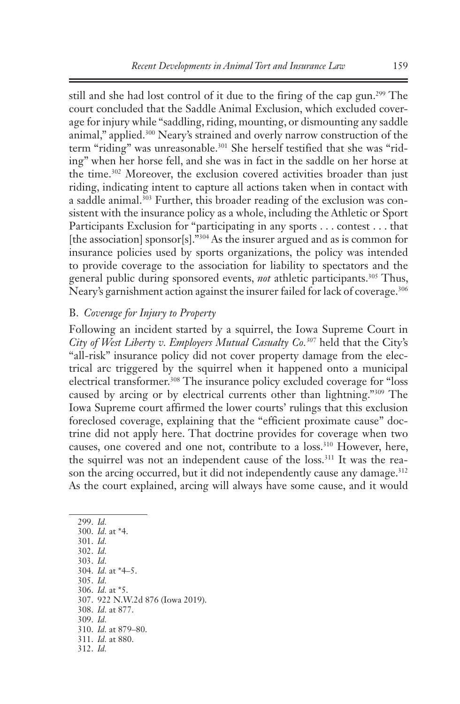still and she had lost control of it due to the firing of the cap gun.<sup>299</sup> The court concluded that the Saddle Animal Exclusion, which excluded coverage for injury while "saddling, riding, mounting, or dismounting any saddle animal," applied.<sup>300</sup> Neary's strained and overly narrow construction of the term "riding" was unreasonable.<sup>301</sup> She herself testified that she was "riding" when her horse fell, and she was in fact in the saddle on her horse at the time.<sup>302</sup> Moreover, the exclusion covered activities broader than just riding, indicating intent to capture all actions taken when in contact with a saddle animal.<sup>303</sup> Further, this broader reading of the exclusion was consistent with the insurance policy as a whole, including the Athletic or Sport Participants Exclusion for "participating in any sports . . . contest . . . that [the association] sponsor[s]."<sup>304</sup> As the insurer argued and as is common for insurance policies used by sports organizations, the policy was intended to provide coverage to the association for liability to spectators and the general public during sponsored events, *not* athletic participants.<sup>305</sup> Thus, Neary's garnishment action against the insurer failed for lack of coverage.<sup>306</sup>

# B. *Coverage for Injury to Property*

Following an incident started by a squirrel, the Iowa Supreme Court in *City of West Liberty v. Employers Mutual Casualty Co.307* held that the City's "all-risk" insurance policy did not cover property damage from the electrical arc triggered by the squirrel when it happened onto a municipal electrical transformer.308 The insurance policy excluded coverage for "loss caused by arcing or by electrical currents other than lightning."309 The Iowa Supreme court affirmed the lower courts' rulings that this exclusion foreclosed coverage, explaining that the "efficient proximate cause" doctrine did not apply here. That doctrine provides for coverage when two causes, one covered and one not, contribute to a loss.<sup>310</sup> However, here, the squirrel was not an independent cause of the loss.<sup>311</sup> It was the reason the arcing occurred, but it did not independently cause any damage.<sup>312</sup> As the court explained, arcing will always have some cause, and it would

299. *Id.* 300. *Id.* at \*4. 301. *Id.*  302. *Id.* 303. *Id.* 304. *Id.* at \*4–5. 305. *Id.* 306. *Id.* at \*5. 307. 922 N.W.2d 876 (Iowa 2019). 308. *Id.* at 877. 309. *Id.* 310. *Id.* at 879–80. 311. *Id.* at 880. 312. *Id.*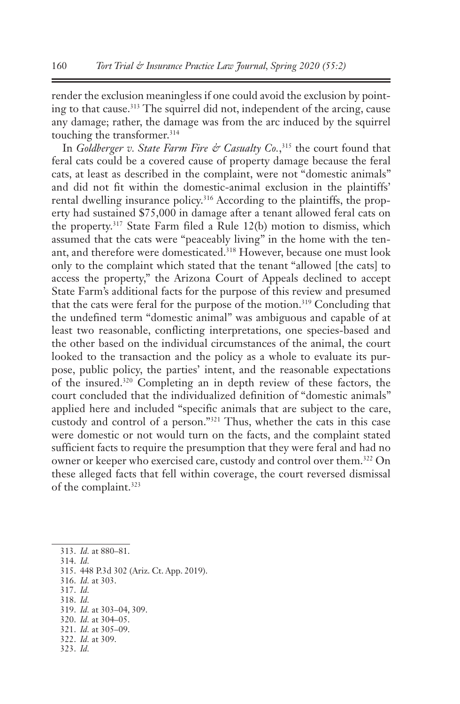render the exclusion meaningless if one could avoid the exclusion by pointing to that cause.313 The squirrel did not, independent of the arcing, cause any damage; rather, the damage was from the arc induced by the squirrel touching the transformer.<sup>314</sup>

In *Goldberger v. State Farm Fire & Casualty Co.*,<sup>315</sup> the court found that feral cats could be a covered cause of property damage because the feral cats, at least as described in the complaint, were not "domestic animals" and did not fit within the domestic-animal exclusion in the plaintiffs' rental dwelling insurance policy.<sup>316</sup> According to the plaintiffs, the property had sustained \$75,000 in damage after a tenant allowed feral cats on the property.317 State Farm filed a Rule 12(b) motion to dismiss, which assumed that the cats were "peaceably living" in the home with the tenant, and therefore were domesticated.<sup>318</sup> However, because one must look only to the complaint which stated that the tenant "allowed [the cats] to access the property," the Arizona Court of Appeals declined to accept State Farm's additional facts for the purpose of this review and presumed that the cats were feral for the purpose of the motion.<sup>319</sup> Concluding that the undefined term "domestic animal" was ambiguous and capable of at least two reasonable, conflicting interpretations, one species-based and the other based on the individual circumstances of the animal, the court looked to the transaction and the policy as a whole to evaluate its purpose, public policy, the parties' intent, and the reasonable expectations of the insured.320 Completing an in depth review of these factors, the court concluded that the individualized definition of "domestic animals" applied here and included "specific animals that are subject to the care, custody and control of a person."321 Thus, whether the cats in this case were domestic or not would turn on the facts, and the complaint stated sufficient facts to require the presumption that they were feral and had no owner or keeper who exercised care, custody and control over them.322 On these alleged facts that fell within coverage, the court reversed dismissal of the complaint.<sup>323</sup>

- 316. *Id.* at 303.
- 317. *Id.* 318. *Id.*
- 319. *Id.* at 303–04, 309.

- 321. *Id.* at 305–09.
- 322. *Id.* at 309.
- 323. *Id.*

<sup>313.</sup> *Id.* at 880–81.

<sup>314.</sup> *Id.*

<sup>315.</sup> 448 P.3d 302 (Ariz. Ct. App. 2019).

<sup>320.</sup> *Id.* at 304–05.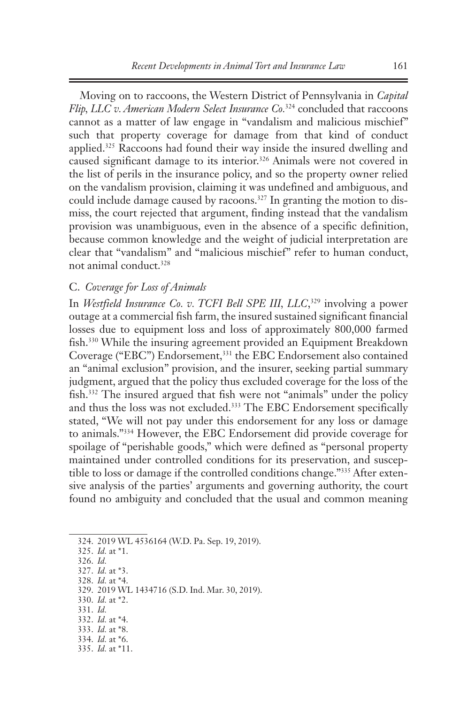Moving on to raccoons, the Western District of Pennsylvania in *Capital Flip, LLC v. American Modern Select Insurance Co.*324 concluded that raccoons cannot as a matter of law engage in "vandalism and malicious mischief" such that property coverage for damage from that kind of conduct applied.325 Raccoons had found their way inside the insured dwelling and caused significant damage to its interior.<sup>326</sup> Animals were not covered in the list of perils in the insurance policy, and so the property owner relied on the vandalism provision, claiming it was undefined and ambiguous, and could include damage caused by racoons.<sup>327</sup> In granting the motion to dismiss, the court rejected that argument, finding instead that the vandalism provision was unambiguous, even in the absence of a specific definition, because common knowledge and the weight of judicial interpretation are clear that "vandalism" and "malicious mischief" refer to human conduct, not animal conduct.328

## C. *Coverage for Loss of Animals*

In *Westfield Insurance Co. v. TCFI Bell SPE III, LLC*, 329 involving a power outage at a commercial fish farm, the insured sustained significant financial losses due to equipment loss and loss of approximately 800,000 farmed fish.<sup>330</sup> While the insuring agreement provided an Equipment Breakdown Coverage ("EBC") Endorsement,331 the EBC Endorsement also contained an "animal exclusion" provision, and the insurer, seeking partial summary judgment, argued that the policy thus excluded coverage for the loss of the fish.<sup>332</sup> The insured argued that fish were not "animals" under the policy and thus the loss was not excluded.<sup>333</sup> The EBC Endorsement specifically stated, "We will not pay under this endorsement for any loss or damage to animals."334 However, the EBC Endorsement did provide coverage for spoilage of "perishable goods," which were defined as "personal property maintained under controlled conditions for its preservation, and susceptible to loss or damage if the controlled conditions change."335 After extensive analysis of the parties' arguments and governing authority, the court found no ambiguity and concluded that the usual and common meaning

- 331. *Id.*
- 332. *Id.* at \*4.
- 333. *Id.* at \*8.
- 334. *Id.* at \*6.
- 335. *Id.* at \*11.

<sup>324.</sup> 2019 WL 4536164 (W.D. Pa. Sep. 19, 2019).

<sup>325.</sup> *Id.* at \*1.

<sup>326.</sup> *Id.* 

<sup>327.</sup> *Id.* at \*3. 328. *Id.* at \*4.

<sup>329.</sup> 2019 WL 1434716 (S.D. Ind. Mar. 30, 2019). 330. *Id.* at \*2.